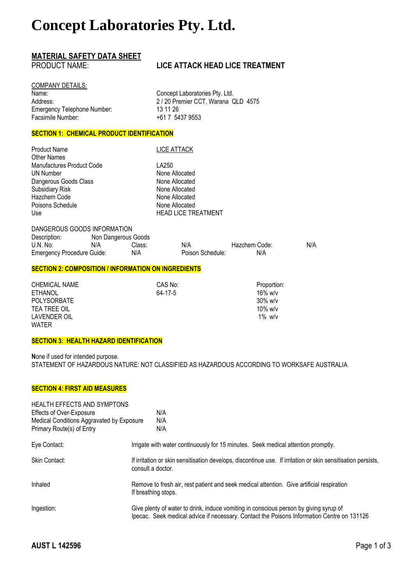# **Concept Laboratories Pty. Ltd.**

# **MATERIAL SAFETY DATA SHEET**

## **LICE ATTACK HEAD LICE TREATMENT**

COMPANY DETAILS: Name: Name: Name: Concept Laboratories Pty. Ltd. Emergency Telephone Number: 13 11 26<br>Facsimile Number: 13 11 26 Facsimile Number:

Address: 2 / 20 Premier CCT, Warana QLD 4575

### **SECTION 1: CHEMICAL PRODUCT IDENTIFICATION**

Product Name LICE ATTACK Other Names Manufactures Product Code **LA250**<br>UN Number **None A** Dangerous Goods Class None Allocated Subsidiary Risk None Allocated Hazchem Code None Allocated Poisons Schedule None Allocated Use **HEAD LICE TREATMENT** 

# None Allocated

DANGEROUS GOODS INFORMATION Description: Non Dangerous Goods U.N. No: N/A Class: N/A Hazchem Code: N/A<br>
Emergency Procedure Guide: N/A Poison Schedule: N/A N/A Emergency Procedure Guide: N/A Poison Schedule: N/A

#### **SECTION 2: COMPOSITION / INFORMATION ON INGREDIENTS**

| <b>CHEMICAL NAME</b> | CAS No: | Proportion: |
|----------------------|---------|-------------|
| <b>ETHANOL</b>       | 64-17-5 | $16\%$ w/v  |
| <b>POLYSORBATE</b>   |         | $30\%$ w/v  |
| TEA TREE OIL         |         | 10% w/v     |
| LAVENDER OIL         |         | $1\%$ w/v   |
| <b>WATER</b>         |         |             |

#### **SECTION 3: HEALTH HAZARD IDENTIFICATION**

**N**one if used for intended purpose. STATEMENT OF HAZARDOUS NATURE: NOT CLASSIFIED AS HAZARDOUS ACCORDING TO WORKSAFE AUSTRALIA

#### **SECTION 4: FIRST AID MEASURES**

| <b>HEALTH EFFECTS AND SYMPTONS</b>        |                                                                                                                                   |                                                                                                                                                                                     |
|-------------------------------------------|-----------------------------------------------------------------------------------------------------------------------------------|-------------------------------------------------------------------------------------------------------------------------------------------------------------------------------------|
| Effects of Over-Exposure                  |                                                                                                                                   | N/A                                                                                                                                                                                 |
| Medical Conditions Aggravated by Exposure |                                                                                                                                   | N/A                                                                                                                                                                                 |
| Primary Route(s) of Entry                 |                                                                                                                                   | N/A                                                                                                                                                                                 |
| Eye Contact:                              |                                                                                                                                   | Irrigate with water continuously for 15 minutes. Seek medical attention promptly.                                                                                                   |
| Skin Contact:                             | If irritation or skin sensitisation develops, discontinue use. If irritation or skin sensitisation persists,<br>consult a doctor. |                                                                                                                                                                                     |
| Inhaled                                   | If breathing stops.                                                                                                               | Remove to fresh air, rest patient and seek medical attention. Give artificial respiration                                                                                           |
| Ingestion:                                |                                                                                                                                   | Give plenty of water to drink, induce vomiting in conscious person by giving syrup of<br>Ipecac. Seek medical advice if necessary. Contact the Poisons Information Centre on 131126 |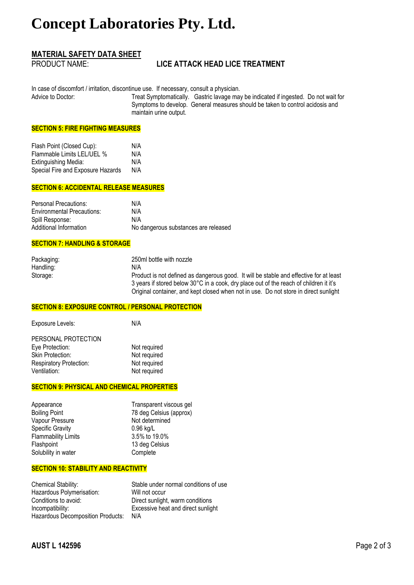# **Concept Laboratories Pty. Ltd.**

## **MATERIAL SAFETY DATA SHEET**

## **LICE ATTACK HEAD LICE TREATMENT**

In case of discomfort / irritation, discontinue use. If necessary, consult a physician.<br>Advice to Doctor: Treat Symptomatically. Gastric layage ma

Treat Symptomatically. Gastric lavage may be indicated if ingested. Do not wait for Symptoms to develop. General measures should be taken to control acidosis and maintain urine output.

#### **SECTION 5: FIRE FIGHTING MEASURES**

| Flash Point (Closed Cup):         | N/A |
|-----------------------------------|-----|
| Flammable Limits LEL/UEL %        | N/A |
| Extinguishing Media:              | N/A |
| Special Fire and Exposure Hazards | N/A |

#### **SECTION 6: ACCIDENTAL RELEASE MEASURES**

| Personal Precautions:             | N/A                                  |
|-----------------------------------|--------------------------------------|
| <b>Environmental Precautions:</b> | N/A                                  |
| Spill Response:                   | N/A                                  |
| Additional Information            | No dangerous substances are released |

#### **SECTION 7: HANDLING & STORAGE**

| Packaging: | 250ml bottle with nozzle                                                               |
|------------|----------------------------------------------------------------------------------------|
| Handling:  | N/A                                                                                    |
| Storage:   | Product is not defined as dangerous good. It will be stable and effective for at least |
|            | 3 years if stored below 30°C in a cook, dry place out of the reach of children it it's |
|            | Original container, and kept closed when not in use. Do not store in direct sunlight   |

#### **SECTION 8: EXPOSURE CONTROL / PERSONAL PROTECTION**

| Exposure Levels:        | N/A          |
|-------------------------|--------------|
| PERSONAL PROTECTION     |              |
| Eye Protection:         | Not required |
| <b>Skin Protection:</b> | Not required |
| Respiratory Protection: | Not required |
| Ventilation:            | Not required |

#### **SECTION 9: PHYSICAL AND CHEMICAL PROPERTIES**

| Appearance                 | Transparent viscous gel |
|----------------------------|-------------------------|
| <b>Boiling Point</b>       | 78 deg Celsius (approx) |
| Vapour Pressure            | Not determined          |
| <b>Specific Gravity</b>    | $0.96$ kg/L             |
| <b>Flammability Limits</b> | 3.5% to 19.0%           |
| Flashpoint                 | 13 deg Celsius          |
| Solubility in water        | Complete                |
|                            |                         |

#### **SECTION 10: STABILITY AND REACTIVITY**

| Chemical Stability:               | Stable under normal conditions of use |
|-----------------------------------|---------------------------------------|
| Hazardous Polymerisation:         | Will not occur                        |
| Conditions to avoid:              | Direct sunlight, warm conditions      |
| Incompatibility:                  | Excessive heat and direct sunlight    |
| Hazardous Decomposition Products: | N/A                                   |